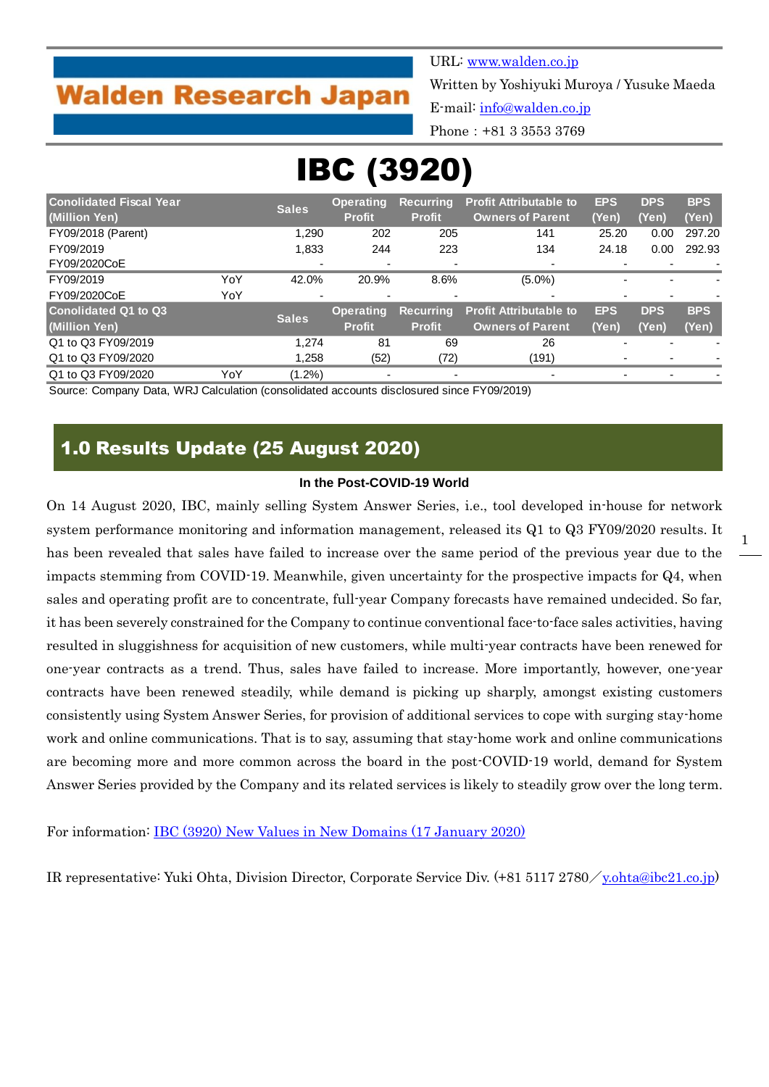# **Walden Research Japan**

URL: [www.walden.co.jp](http://www.walden.co.jp/)

Written by Yoshiyuki Muroya / Yusuke Maeda

E-mail: [info@walden.co.jp](mailto:info@walden.co.jp)

Phone:+81 3 3553 3769

# IBC (3920)

| <b>Conolidated Fiscal Year</b> |     | <b>Sales</b> | <b>Operating</b> | <b>Recurring</b> | <b>Profit Attributable to</b> | <b>EPS</b> | <b>DPS</b> | <b>BPS</b> |
|--------------------------------|-----|--------------|------------------|------------------|-------------------------------|------------|------------|------------|
| (Million Yen)                  |     |              | <b>Profit</b>    | <b>Profit</b>    | <b>Owners of Parent</b>       | (Yen)      | (Yen)      | (Yen)      |
| FY09/2018 (Parent)             |     | 1.290        | 202              | 205              | 141                           | 25.20      | 0.00       | 297.20     |
| FY09/2019                      |     | 1,833        | 244              | 223              | 134                           | 24.18      | 0.00       | 292.93     |
| FY09/2020CoE                   |     | ٠            |                  | ٠                |                               |            |            |            |
| FY09/2019                      | YoY | 42.0%        | 20.9%            | 8.6%             | $(5.0\%)$                     |            |            |            |
| FY09/2020CoE                   | YoY | ٠            |                  | ٠                |                               |            |            |            |
| Conolidated Q1 to Q3           |     | <b>Sales</b> | <b>Operating</b> | <b>Recurring</b> | <b>Profit Attributable to</b> | <b>EPS</b> | <b>DPS</b> | <b>BPS</b> |
| (Million Yen)                  |     |              | <b>Profit</b>    | <b>Profit</b>    | <b>Owners of Parent</b>       | (Yen)      | (Yen)      | (Yen)      |
| Q1 to Q3 FY09/2019             |     | 1.274        | 81               | 69               | 26                            |            |            |            |
| Q1 to Q3 FY09/2020             |     | 1,258        | (52)             | (72)             | (191)                         |            |            |            |
| Q1 to Q3 FY09/2020             | YoY | $(1.2\%)$    |                  |                  |                               |            |            |            |

Source: Company Data, WRJ Calculation (consolidated accounts disclosured since FY09/2019)

## 1.0 Results Update (25 August 2020)

#### **In the Post-COVID-19 World**

On 14 August 2020, IBC, mainly selling System Answer Series, i.e., tool developed in-house for network system performance monitoring and information management, released its Q1 to Q3 FY09/2020 results. It has been revealed that sales have failed to increase over the same period of the previous year due to the impacts stemming from COVID-19. Meanwhile, given uncertainty for the prospective impacts for Q4, when sales and operating profit are to concentrate, full-year Company forecasts have remained undecided. So far, it has been severely constrained for the Company to continue conventional face-to-face sales activities, having resulted in sluggishness for acquisition of new customers, while multi-year contracts have been renewed for one-year contracts as a trend. Thus, sales have failed to increase. More importantly, however, one-year contracts have been renewed steadily, while demand is picking up sharply, amongst existing customers consistently using System Answer Series, for provision of additional services to cope with surging stay-home work and online communications. That is to say, assuming that stay-home work and online communications are becoming more and more common across the board in the post-COVID-19 world, demand for System Answer Series provided by the Company and its related services is likely to steadily grow over the long term.

For information: [IBC \(3920\) New Values in New Domains \(17 January 2020\)](http://walden.co.jp/pdf/3920_ibc_2019_09_q4_report_2020_01_17_english.pdf)

IR representative: Yuki Ohta, Division Director, Corporate Service Div. (+81 5117 2780/[y.ohta@ibc21.co.jp\)](mailto:y.ohta@ibc21.co.jp)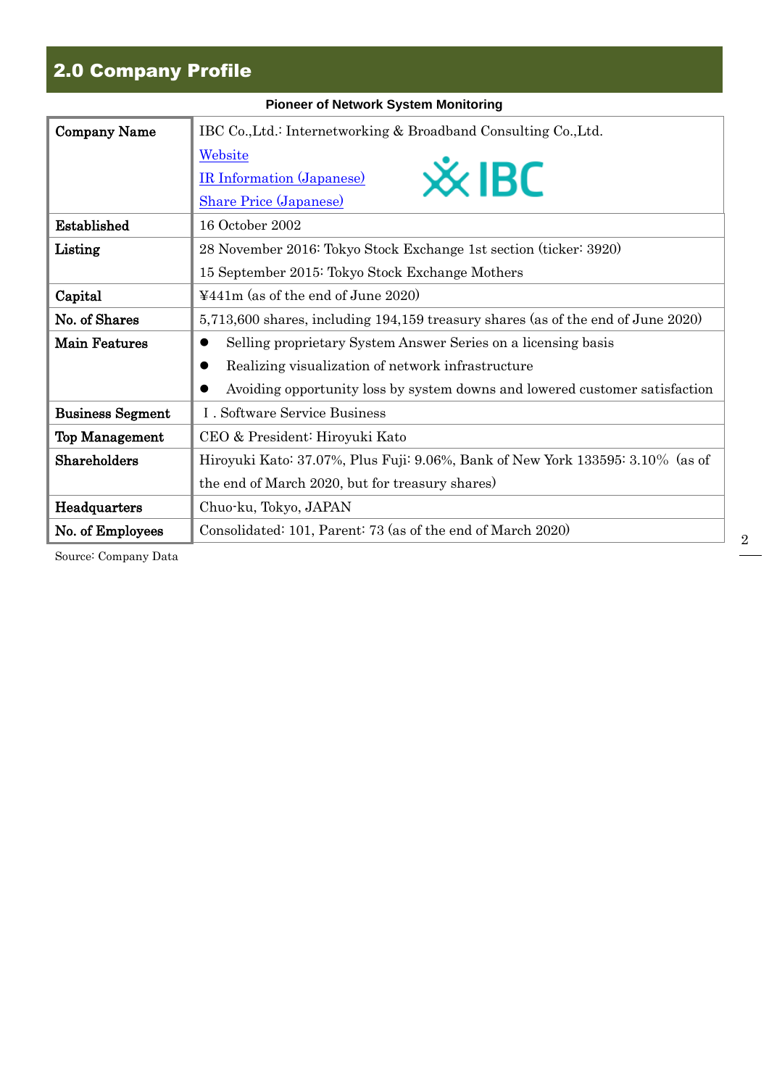## 2.0 Company Profile

|                         | <b>Pioneer of Network System Monitoring</b>                                      |
|-------------------------|----------------------------------------------------------------------------------|
| Company Name            | IBC Co., Ltd.: Internetworking & Broadband Consulting Co., Ltd.                  |
|                         | Website                                                                          |
|                         | $\mathsf{\mathsf{\mathscr{X}}}$ IBC<br><b>IR Information (Japanese)</b>          |
|                         | <b>Share Price (Japanese)</b>                                                    |
| Established             | 16 October 2002                                                                  |
| Listing                 | 28 November 2016: Tokyo Stock Exchange 1st section (ticker: 3920)                |
|                         | 15 September 2015: Tokyo Stock Exchange Mothers                                  |
| Capital                 | $\text{\textsterling}441\text{m}$ (as of the end of June 2020)                   |
| No. of Shares           | 5,713,600 shares, including 194,159 treasury shares (as of the end of June 2020) |
| <b>Main Features</b>    | Selling proprietary System Answer Series on a licensing basis<br>$\bullet$       |
|                         | Realizing visualization of network infrastructure<br>0                           |
|                         | Avoiding opportunity loss by system downs and lowered customer satisfaction      |
| <b>Business Segment</b> | I. Software Service Business                                                     |
| <b>Top Management</b>   | CEO & President: Hiroyuki Kato                                                   |
| Shareholders            | Hiroyuki Kato: 37.07%, Plus Fuji: 9.06%, Bank of New York 133595: 3.10% (as of   |
|                         | the end of March 2020, but for treasury shares)                                  |
| Headquarters            | Chuo-ku, Tokyo, JAPAN                                                            |
| No. of Employees        | Consolidated: 101, Parent: 73 (as of the end of March 2020)                      |

Source: Company Data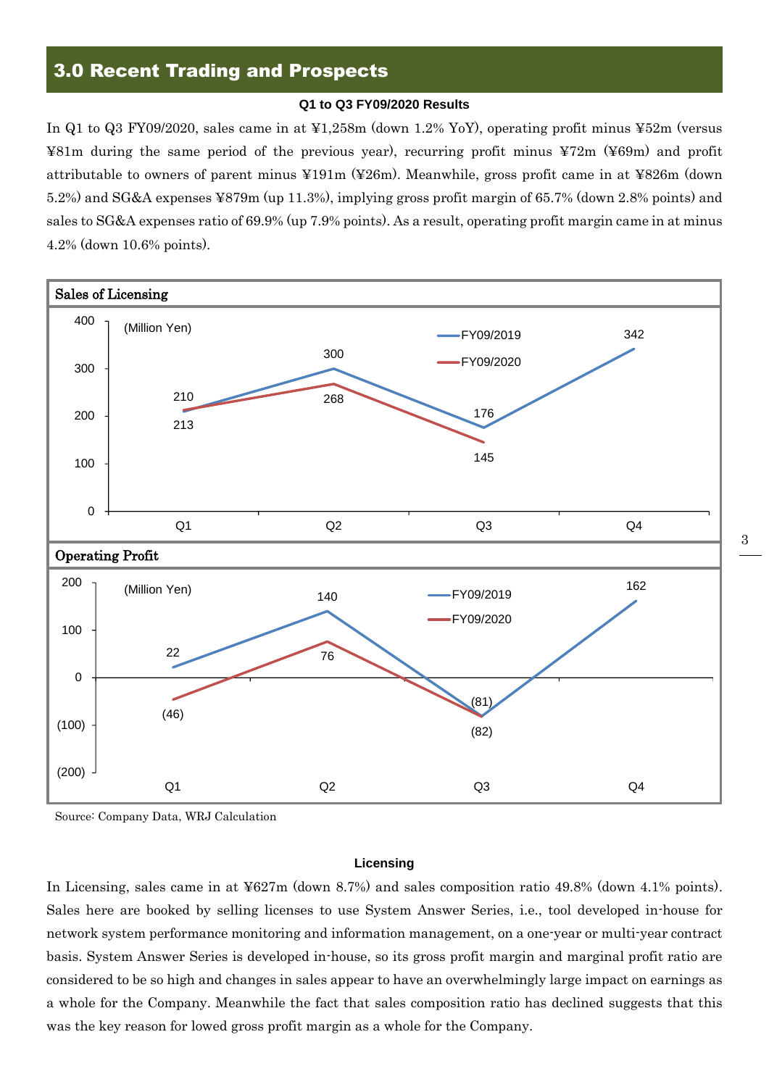## 3.0 Recent Trading and Prospects

#### **Q1 to Q3 FY09/2020 Results**

In Q1 to Q3 FY09/2020, sales came in at ¥1,258m (down 1.2% YoY), operating profit minus ¥52m (versus ¥81m during the same period of the previous year), recurring profit minus ¥72m (¥69m) and profit attributable to owners of parent minus ¥191m (¥26m). Meanwhile, gross profit came in at ¥826m (down 5.2%) and SG&A expenses ¥879m (up 11.3%), implying gross profit margin of 65.7% (down 2.8% points) and sales to SG&A expenses ratio of 69.9% (up 7.9% points). As a result, operating profit margin came in at minus 4.2% (down 10.6% points).



Source: Company Data, WRJ Calculation

#### **Licensing**

In Licensing, sales came in at ¥627m (down 8.7%) and sales composition ratio 49.8% (down 4.1% points). Sales here are booked by selling licenses to use System Answer Series, i.e., tool developed in-house for network system performance monitoring and information management, on a one-year or multi-year contract basis. System Answer Series is developed in-house, so its gross profit margin and marginal profit ratio are considered to be so high and changes in sales appear to have an overwhelmingly large impact on earnings as a whole for the Company. Meanwhile the fact that sales composition ratio has declined suggests that this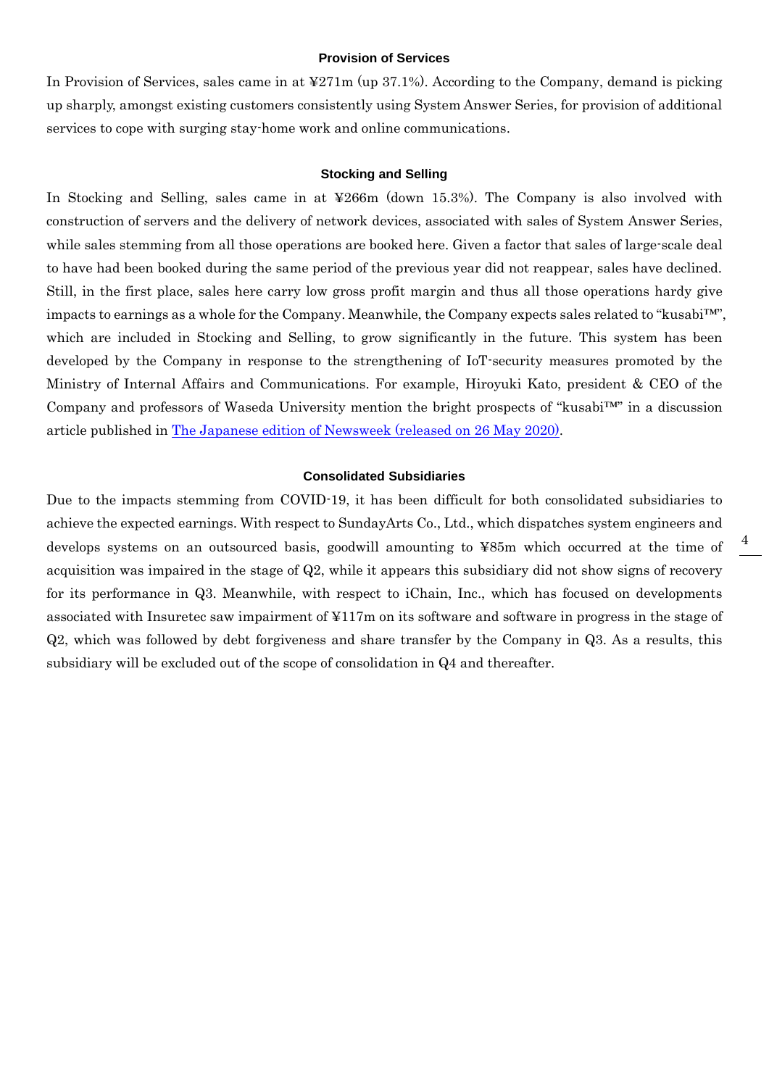#### **Provision of Services**

In Provision of Services, sales came in at ¥271m (up 37.1%). According to the Company, demand is picking up sharply, amongst existing customers consistently using System Answer Series, for provision of additional services to cope with surging stay-home work and online communications.

#### **Stocking and Selling**

In Stocking and Selling, sales came in at ¥266m (down 15.3%). The Company is also involved with construction of servers and the delivery of network devices, associated with sales of System Answer Series, while sales stemming from all those operations are booked here. Given a factor that sales of large-scale deal to have had been booked during the same period of the previous year did not reappear, sales have declined. Still, in the first place, sales here carry low gross profit margin and thus all those operations hardy give impacts to earnings as a whole for the Company. Meanwhile, the Company expects sales related to "kusabi™", which are included in Stocking and Selling, to grow significantly in the future. This system has been developed by the Company in response to the strengthening of IoT-security measures promoted by the Ministry of Internal Affairs and Communications. For example, Hiroyuki Kato, president & CEO of the Company and professors of Waseda University mention the bright prospects of "kusabi™" in a discussion article published in [The Japanese edition of Newsweek \(released](https://www.ibc21.co.jp/news/2020/1237/) on 26 May 2020).

#### **Consolidated Subsidiaries**

Due to the impacts stemming from COVID-19, it has been difficult for both consolidated subsidiaries to achieve the expected earnings. With respect to SundayArts Co., Ltd., which dispatches system engineers and develops systems on an outsourced basis, goodwill amounting to ¥85m which occurred at the time of acquisition was impaired in the stage of Q2, while it appears this subsidiary did not show signs of recovery for its performance in Q3. Meanwhile, with respect to iChain, Inc., which has focused on developments associated with Insuretec saw impairment of ¥117m on its software and software in progress in the stage of Q2, which was followed by debt forgiveness and share transfer by the Company in Q3. As a results, this subsidiary will be excluded out of the scope of consolidation in Q4 and thereafter.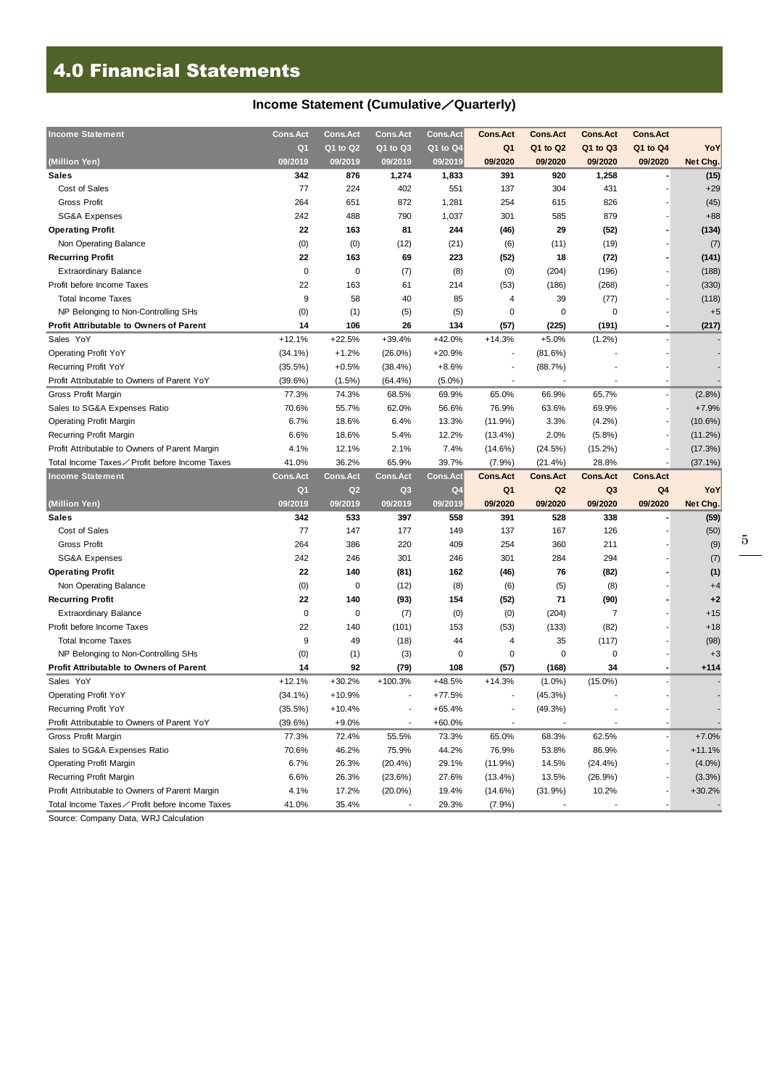## 4.0 Financial Statements

## **Income Statement (Cumulative**/**Quarterly)**

| <b>Income Statement</b>                                                                         | <b>Cons.Act</b> | <b>Cons.Act</b> | <b>Cons.Act</b> | <b>Cons.Act</b> | <b>Cons.Act</b>      | <b>Cons.Act</b> | <b>Cons.Act</b> | <b>Cons.Act</b> |            |
|-------------------------------------------------------------------------------------------------|-----------------|-----------------|-----------------|-----------------|----------------------|-----------------|-----------------|-----------------|------------|
|                                                                                                 | Q <sub>1</sub>  | Q1 to Q2        | Q1 to Q3        | Q1 to Q4        | Q <sub>1</sub>       | Q1 to Q2        | Q1 to Q3        | Q1 to Q4        | YoY        |
| (Million Yen)                                                                                   | 09/2019         | 09/2019         | 09/2019         | 09/2019         | 09/2020              | 09/2020         | 09/2020         | 09/2020         | Net Chg.   |
| <b>Sales</b>                                                                                    | 342             | 876             | 1,274           | 1,833           | 391                  | 920             | 1,258           |                 | (15)       |
| Cost of Sales                                                                                   | 77              | 224             | 402             | 551             | 137                  | 304             | 431             |                 | $+29$      |
| Gross Profit                                                                                    | 264             | 651             | 872             | 1,281           | 254                  | 615             | 826             |                 | (45)       |
| <b>SG&amp;A Expenses</b>                                                                        | 242             | 488             | 790             | 1,037           | 301                  | 585             | 879             |                 | $+88$      |
| <b>Operating Profit</b>                                                                         | 22              | 163             | 81              | 244             | (46)                 | 29              | (52)            |                 | (134)      |
| Non Operating Balance                                                                           | (0)             | (0)             | (12)            | (21)            | (6)                  | (11)            | (19)            |                 | (7)        |
| <b>Recurring Profit</b>                                                                         | 22              | 163             | 69              | 223             | (52)                 | 18              | (72)            |                 | (141)      |
| <b>Extraordinary Balance</b>                                                                    | 0               | 0               | (7)             | (8)             | (0)                  | (204)           | (196)           |                 | (188)      |
| Profit before Income Taxes                                                                      | 22              | 163             | 61              | 214             | (53)                 | (186)           | (268)           |                 | (330)      |
| <b>Total Income Taxes</b>                                                                       | 9               | 58              | 40              | 85              | 4                    | 39              | (77)            |                 | (118)      |
| NP Belonging to Non-Controlling SHs                                                             | (0)             | (1)             | (5)             | (5)             | 0                    | $\pmb{0}$       | 0               |                 | $+5$       |
| <b>Profit Attributable to Owners of Parent</b>                                                  | 14              | 106             | 26              | 134             | (57)                 | (225)           | (191)           |                 | (217)      |
| Sales YoY                                                                                       | $+12.1%$        | $+22.5%$        | $+39.4%$        | $+42.0%$        | $+14.3%$             | $+5.0%$         | $(1.2\%)$       |                 |            |
| <b>Operating Profit YoY</b>                                                                     | $(34.1\%)$      | $+1.2%$         | $(26.0\%)$      | $+20.9%$        |                      | (81.6%)         |                 |                 |            |
| Recurring Profit YoY                                                                            | (35.5%)         | $+0.5%$         | (38.4%)         | $+8.6%$         |                      | (88.7%)         |                 |                 |            |
| Profit Attributable to Owners of Parent YoY                                                     | (39.6%)         | $(1.5\%)$       | (64.4%)         | $(5.0\%)$       |                      |                 |                 |                 |            |
| Gross Profit Margin                                                                             | 77.3%           | 74.3%           | 68.5%           | 69.9%           | 65.0%                | 66.9%           | 65.7%           |                 | (2.8%)     |
| Sales to SG&A Expenses Ratio                                                                    | 70.6%           | 55.7%           | 62.0%           | 56.6%           | 76.9%                | 63.6%           | 69.9%           |                 | $+7.9%$    |
| <b>Operating Profit Margin</b>                                                                  | 6.7%            | 18.6%           | 6.4%            | 13.3%           | (11.9%)              | 3.3%            | $(4.2\%)$       |                 | $(10.6\%)$ |
| <b>Recurring Profit Margin</b>                                                                  | 6.6%            | 18.6%           | 5.4%            | 12.2%           | $(13.4\%)$           | 2.0%            | (5.8%)          |                 | $(11.2\%)$ |
| Profit Attributable to Owners of Parent Margin                                                  | 4.1%            | 12.1%           | 2.1%            | 7.4%            | $(14.6\%)$           | (24.5%)         | $(15.2\%)$      |                 | (17.3%)    |
| Total Income Taxes∕ Profit before Income Taxes                                                  | 41.0%           | 36.2%           | 65.9%           | 39.7%           | (7.9%)               | $(21.4\%)$      | 28.8%           |                 | $(37.1\%)$ |
|                                                                                                 |                 |                 |                 |                 |                      |                 |                 |                 |            |
| <b>Income Statement</b>                                                                         | <b>Cons.Act</b> | <b>Cons.Act</b> | <b>Cons.Act</b> | <b>Cons.Act</b> | <b>Cons.Act</b>      | <b>Cons.Act</b> | <b>Cons.Act</b> | <b>Cons.Act</b> |            |
|                                                                                                 | Q <sub>1</sub>  | Q2              | Q <sub>3</sub>  | Q <sub>4</sub>  | Q <sub>1</sub>       | Q <sub>2</sub>  | Q <sub>3</sub>  | Q4              | YoY        |
| (Million Yen)                                                                                   | 09/2019         | 09/2019         | 09/2019         | 09/2019         | 09/2020              | 09/2020         | 09/2020         | 09/2020         | Net Chg.   |
| <b>Sales</b>                                                                                    | 342             | 533             | 397             | 558             | 391                  | 528             | 338             |                 | (59)       |
| Cost of Sales                                                                                   | 77              | 147             | 177             | 149             | 137                  | 167             | 126             |                 | (50)       |
| <b>Gross Profit</b>                                                                             | 264             | 386             | 220             | 409             | 254                  | 360             | 211             |                 | (9)        |
| <b>SG&amp;A Expenses</b>                                                                        | 242             | 246             | 301             | 246             | 301                  | 284             | 294             |                 | (7)        |
| <b>Operating Profit</b>                                                                         | 22              | 140             | (81)            | 162             | (46)                 | 76              | (82)            |                 | (1)        |
| Non Operating Balance                                                                           | (0)             | 0               | (12)            | (8)             | (6)                  | (5)             | (8)             |                 | $+4$       |
| <b>Recurring Profit</b>                                                                         | 22              | 140             | (93)            | 154             | (52)                 | 71              | (90)            |                 | $+2$       |
| <b>Extraordinary Balance</b>                                                                    | 0               | 0               | (7)             | (0)             | (0)                  | (204)           | $\overline{7}$  |                 | $+15$      |
| Profit before Income Taxes                                                                      | 22              | 140             | (101)           | 153             | (53)                 | (133)           | (82)            |                 | $+18$      |
| <b>Total Income Taxes</b>                                                                       | 9               | 49              | (18)            | 44              | 4                    | 35              | (117)           |                 | (98)       |
| NP Belonging to Non-Controlling SHs                                                             | (0)             | (1)             | (3)             | 0               | 0                    | 0               | 0               |                 | $+3$       |
| Profit Attributable to Owners of Parent                                                         | 14              | 92              | (79)            | 108             | (57)                 | (168)           | 34              |                 | +114       |
| Sales YoY                                                                                       | $+12.1%$        | $+30.2%$        | $+100.3%$       | $+48.5%$        | $+14.3%$             | $(1.0\%)$       | $(15.0\%)$      |                 |            |
| Operating Profit YoY                                                                            | $(34.1\%)$      | $+10.9%$        | $\overline{a}$  | $+77.5%$        | ٠                    | (45.3%)         |                 |                 |            |
| Recurring Profit YoY                                                                            | $(35.5\%)$      | $+10.4%$        |                 | $+65.4%$        |                      | (49.3%)         |                 |                 |            |
| Profit Attributable to Owners of Parent YoY                                                     | (39.6%)         | $+9.0%$         |                 | $+60.0%$        |                      |                 |                 |                 |            |
| Gross Profit Margin                                                                             | 77.3%           | 72.4%           | 55.5%           | 73.3%           | 65.0%                | 68.3%           | 62.5%           |                 | $+7.0%$    |
| Sales to SG&A Expenses Ratio                                                                    | 70.6%           | 46.2%           | 75.9%           | 44.2%           | 76.9%                | 53.8%           | 86.9%           |                 | $+11.1%$   |
| <b>Operating Profit Margin</b>                                                                  | 6.7%            | 26.3%           | $(20.4\%)$      | 29.1%           | (11.9%)              | 14.5%           | $(24.4\%)$      |                 | $(4.0\%)$  |
| Recurring Profit Margin                                                                         | 6.6%            | 26.3%           | (23.6%)         | 27.6%           | $(13.4\%)$           | 13.5%           | (26.9%)         |                 | (3.3%)     |
| Profit Attributable to Owners of Parent Margin<br>Total Income Taxes∕Profit before Income Taxes | 4.1%<br>41.0%   | 17.2%<br>35.4%  | $(20.0\%)$      | 19.4%<br>29.3%  | $(14.6\%)$<br>(7.9%) | (31.9%)         | 10.2%           |                 | $+30.2%$   |

Source: Company Data, WRJ Calculation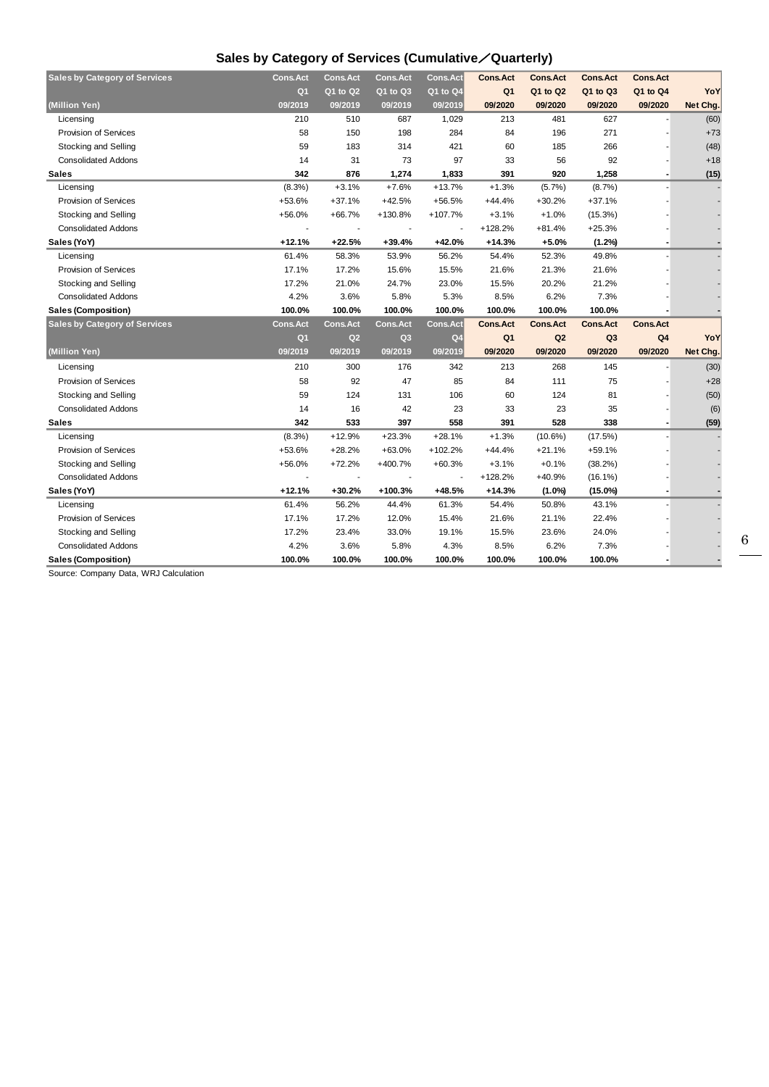## **Sales by Category of Services (Cumulative**/**Quarterly)**

| <b>Sales by Category of Services</b> | <b>Cons.Act</b> | <b>Cons.Act</b> | <b>Cons.Act</b> | <b>Cons.Act</b> | <b>Cons.Act</b> | <b>Cons.Act</b> | <b>Cons.Act</b> | <b>Cons.Act</b> |          |
|--------------------------------------|-----------------|-----------------|-----------------|-----------------|-----------------|-----------------|-----------------|-----------------|----------|
|                                      | Q <sub>1</sub>  | Q1 to Q2        | Q1 to Q3        | Q1 to Q4        | Q <sub>1</sub>  | Q1 to Q2        | Q1 to Q3        | Q1 to Q4        | YoY      |
| (Million Yen)                        | 09/2019         | 09/2019         | 09/2019         | 09/2019         | 09/2020         | 09/2020         | 09/2020         | 09/2020         | Net Chg. |
| Licensing                            | 210             | 510             | 687             | 1,029           | 213             | 481             | 627             |                 | (60)     |
| <b>Provision of Services</b>         | 58              | 150             | 198             | 284             | 84              | 196             | 271             |                 | $+73$    |
| <b>Stocking and Selling</b>          | 59              | 183             | 314             | 421             | 60              | 185             | 266             |                 | (48)     |
| <b>Consolidated Addons</b>           | 14              | 31              | 73              | 97              | 33              | 56              | 92              |                 | $+18$    |
| Sales                                | 342             | 876             | 1,274           | 1,833           | 391             | 920             | 1,258           |                 | (15)     |
| Licensing                            | (8.3%)          | $+3.1%$         | $+7.6%$         | $+13.7%$        | $+1.3%$         | (5.7%)          | (8.7%)          |                 |          |
| <b>Provision of Services</b>         | +53.6%          | $+37.1%$        | $+42.5%$        | $+56.5%$        | $+44.4%$        | $+30.2%$        | $+37.1%$        |                 |          |
| <b>Stocking and Selling</b>          | $+56.0%$        | $+66.7%$        | +130.8%         | +107.7%         | $+3.1%$         | $+1.0%$         | (15.3%)         |                 |          |
| <b>Consolidated Addons</b>           |                 |                 |                 |                 | $+128.2%$       | +81.4%          | $+25.3%$        |                 |          |
| Sales (YoY)                          | +12.1%          | $+22.5%$        | +39.4%          | +42.0%          | +14.3%          | $+5.0%$         | (1.2%)          |                 |          |
| Licensing                            | 61.4%           | 58.3%           | 53.9%           | 56.2%           | 54.4%           | 52.3%           | 49.8%           |                 |          |
| Provision of Services                | 17.1%           | 17.2%           | 15.6%           | 15.5%           | 21.6%           | 21.3%           | 21.6%           |                 |          |
| Stocking and Selling                 | 17.2%           | 21.0%           | 24.7%           | 23.0%           | 15.5%           | 20.2%           | 21.2%           |                 |          |
| <b>Consolidated Addons</b>           | 4.2%            | 3.6%            | 5.8%            | 5.3%            | 8.5%            | 6.2%            | 7.3%            |                 |          |
| Sales (Composition)                  | 100.0%          | 100.0%          | 100.0%          | 100.0%          | 100.0%          | 100.0%          | 100.0%          |                 |          |
| <b>Sales by Category of Services</b> | <b>Cons.Act</b> | <b>Cons.Act</b> | Cons.Act        | <b>Cons.Act</b> | <b>Cons.Act</b> | <b>Cons.Act</b> | <b>Cons.Act</b> | <b>Cons.Act</b> |          |
|                                      | Q <sub>1</sub>  | Q <sub>2</sub>  | Q <sub>3</sub>  | Q <sub>4</sub>  | Q <sub>1</sub>  | Q2              | Q <sub>3</sub>  | Q <sub>4</sub>  | YoY      |
| (Million Yen)                        | 09/2019         | 09/2019         | 09/2019         | 09/2019         | 09/2020         | 09/2020         | 09/2020         | 09/2020         | Net Chg. |
| Licensing                            | 210             | 300             | 176             | 342             | 213             | 268             | 145             |                 | (30)     |
| Provision of Services                | 58              | 92              | 47              | 85              | 84              | 111             | 75              |                 | $+28$    |
| Stocking and Selling                 | 59              | 124             | 131             | 106             | 60              | 124             | 81              |                 | (50)     |
| <b>Consolidated Addons</b>           | 14              | 16              | 42              | 23              | 33              | 23              | 35              |                 | (6)      |
| Sales                                | 342             | 533             | 397             | 558             | 391             | 528             | 338             |                 | (59)     |
| Licensing                            | $(8.3\%)$       | $+12.9%$        | $+23.3%$        | $+28.1%$        | $+1.3%$         | $(10.6\%)$      | (17.5%)         |                 |          |
|                                      |                 |                 |                 |                 |                 |                 |                 |                 |          |
| <b>Provision of Services</b>         | $+53.6%$        | $+28.2%$        | $+63.0%$        | $+102.2%$       | $+44.4%$        | $+21.1%$        | $+59.1%$        |                 |          |
| Stocking and Selling                 | $+56.0%$        | $+72.2%$        | +400.7%         | $+60.3%$        | $+3.1%$         | $+0.1%$         | $(38.2\%)$      |                 |          |
| <b>Consolidated Addons</b>           |                 |                 |                 |                 | $+128.2%$       | +40.9%          | $(16.1\%)$      |                 |          |
| Sales (YoY)                          | +12.1%          | $+30.2%$        | +100.3%         | $+48.5%$        | $+14.3%$        | $(1.0\%)$       | $(15.0\%)$      |                 |          |
| Licensing                            | 61.4%           | 56.2%           | 44.4%           | 61.3%           | 54.4%           | 50.8%           | 43.1%           |                 |          |
| Provision of Services                | 17.1%           | 17.2%           | 12.0%           | 15.4%           | 21.6%           | 21.1%           | 22.4%           |                 |          |
| Stocking and Selling                 | 17.2%           | 23.4%           | 33.0%           | 19.1%           | 15.5%           | 23.6%           | 24.0%           |                 |          |
| <b>Consolidated Addons</b>           | 4.2%            | 3.6%            | 5.8%            | 4.3%            | 8.5%            | 6.2%            | 7.3%            |                 |          |

Source: Company Data, WRJ Calculation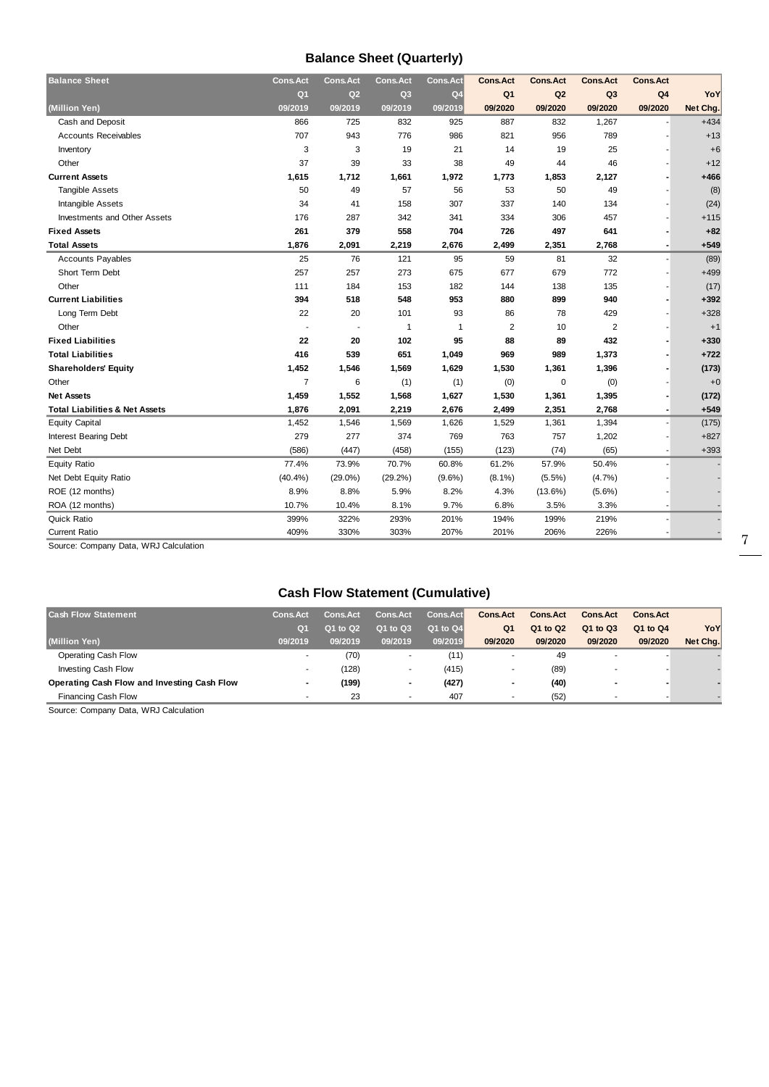## **Balance Sheet (Quarterly)**

| Q <sub>1</sub><br>Q <sub>1</sub><br>Q2<br>Q <sub>3</sub><br>Q2<br>Q <sub>3</sub><br>Q <sub>4</sub><br>Q <sub>4</sub><br>09/2020<br>09/2020<br>09/2020<br>09/2020<br>(Million Yen)<br>09/2019<br>09/2019<br>09/2019<br>09/2019<br>Cash and Deposit<br>866<br>725<br>832<br>887<br>832<br>1,267<br>925<br><b>Accounts Receivables</b><br>707<br>943<br>776<br>986<br>821<br>956<br>789<br>3<br>3<br>19<br>21<br>14<br>19<br>25<br>Inventory<br>37<br>39<br>Other<br>33<br>38<br>49<br>46<br>44<br><b>Current Assets</b><br>1,615<br>1,712<br>1,661<br>1,972<br>1,773<br>1,853<br>2,127<br>50<br>49<br>57<br>50<br><b>Tangible Assets</b><br>56<br>53<br>49<br>307<br>337<br>140<br>Intangible Assets<br>34<br>41<br>158<br>134<br>287<br>342<br>334<br>306<br>457<br><b>Investments and Other Assets</b><br>176<br>341<br><b>Fixed Assets</b><br>261<br>379<br>558<br>704<br>726<br>497<br>641<br><b>Total Assets</b><br>1,876<br>2,091<br>2,219<br>2,676<br>2,499<br>2,351<br>2,768<br><b>Accounts Payables</b><br>25<br>76<br>121<br>59<br>81<br>32<br>95<br>Short Term Debt<br>257<br>257<br>273<br>675<br>677<br>679<br>772<br>Other<br>184<br>135<br>111<br>153<br>182<br>144<br>138<br><b>Current Liabilities</b><br>394<br>518<br>548<br>953<br>880<br>899<br>940<br>22<br>20<br>429<br>Long Term Debt<br>101<br>93<br>86<br>78<br>Other<br>2<br>$\overline{2}$<br>1<br>$\mathbf{1}$<br>10<br><b>Fixed Liabilities</b><br>22<br>20<br>102<br>95<br>88<br>89<br>432<br>416<br><b>Total Liabilities</b><br>539<br>651<br>1,049<br>969<br>989<br>1,373<br>1,452<br>1,546<br>1,569<br>1,629<br>1,530<br>1,361<br>1,396<br><b>Shareholders' Equity</b><br>$\overline{7}$<br>6<br>$\mathbf 0$<br>Other<br>(1)<br>(1)<br>(0)<br>(0)<br>1,459<br>1,552<br>1,568<br>1,627<br>1,530<br>1,361<br>1,395<br><b>Net Assets</b><br><b>Total Liabilities &amp; Net Assets</b><br>1,876<br>2,091<br>2,219<br>2,676<br>2,499<br>2,351<br>2,768<br><b>Equity Capital</b><br>1,452<br>1,626<br>1,394<br>1,546<br>1,569<br>1,529<br>1,361<br><b>Interest Bearing Debt</b><br>279<br>277<br>374<br>763<br>757<br>1,202<br>769<br>(586)<br>(447)<br>(123)<br>(65)<br>Net Debt<br>(458)<br>(155)<br>(74)<br>73.9%<br>57.9%<br>77.4%<br>70.7%<br>60.8%<br>61.2%<br>50.4%<br><b>Equity Ratio</b> | <b>Balance Sheet</b> | <b>Cons.Act</b> | <b>Cons.Act</b> | <b>Cons.Act</b> | <b>Cons.Act</b> | <b>Cons.Act</b> | <b>Cons.Act</b> | <b>Cons.Act</b> | <b>Cons.Act</b> |          |
|-----------------------------------------------------------------------------------------------------------------------------------------------------------------------------------------------------------------------------------------------------------------------------------------------------------------------------------------------------------------------------------------------------------------------------------------------------------------------------------------------------------------------------------------------------------------------------------------------------------------------------------------------------------------------------------------------------------------------------------------------------------------------------------------------------------------------------------------------------------------------------------------------------------------------------------------------------------------------------------------------------------------------------------------------------------------------------------------------------------------------------------------------------------------------------------------------------------------------------------------------------------------------------------------------------------------------------------------------------------------------------------------------------------------------------------------------------------------------------------------------------------------------------------------------------------------------------------------------------------------------------------------------------------------------------------------------------------------------------------------------------------------------------------------------------------------------------------------------------------------------------------------------------------------------------------------------------------------------------------------------------------------------------------------------------------------------------------------------------------------------------------------------------------------------------------------------------------------------------------------------------------------------------|----------------------|-----------------|-----------------|-----------------|-----------------|-----------------|-----------------|-----------------|-----------------|----------|
|                                                                                                                                                                                                                                                                                                                                                                                                                                                                                                                                                                                                                                                                                                                                                                                                                                                                                                                                                                                                                                                                                                                                                                                                                                                                                                                                                                                                                                                                                                                                                                                                                                                                                                                                                                                                                                                                                                                                                                                                                                                                                                                                                                                                                                                                             |                      |                 |                 |                 |                 |                 |                 |                 |                 | YoY      |
|                                                                                                                                                                                                                                                                                                                                                                                                                                                                                                                                                                                                                                                                                                                                                                                                                                                                                                                                                                                                                                                                                                                                                                                                                                                                                                                                                                                                                                                                                                                                                                                                                                                                                                                                                                                                                                                                                                                                                                                                                                                                                                                                                                                                                                                                             |                      |                 |                 |                 |                 |                 |                 |                 |                 | Net Chg. |
|                                                                                                                                                                                                                                                                                                                                                                                                                                                                                                                                                                                                                                                                                                                                                                                                                                                                                                                                                                                                                                                                                                                                                                                                                                                                                                                                                                                                                                                                                                                                                                                                                                                                                                                                                                                                                                                                                                                                                                                                                                                                                                                                                                                                                                                                             |                      |                 |                 |                 |                 |                 |                 |                 |                 | $+434$   |
|                                                                                                                                                                                                                                                                                                                                                                                                                                                                                                                                                                                                                                                                                                                                                                                                                                                                                                                                                                                                                                                                                                                                                                                                                                                                                                                                                                                                                                                                                                                                                                                                                                                                                                                                                                                                                                                                                                                                                                                                                                                                                                                                                                                                                                                                             |                      |                 |                 |                 |                 |                 |                 |                 |                 | $+13$    |
|                                                                                                                                                                                                                                                                                                                                                                                                                                                                                                                                                                                                                                                                                                                                                                                                                                                                                                                                                                                                                                                                                                                                                                                                                                                                                                                                                                                                                                                                                                                                                                                                                                                                                                                                                                                                                                                                                                                                                                                                                                                                                                                                                                                                                                                                             |                      |                 |                 |                 |                 |                 |                 |                 |                 | $+6$     |
|                                                                                                                                                                                                                                                                                                                                                                                                                                                                                                                                                                                                                                                                                                                                                                                                                                                                                                                                                                                                                                                                                                                                                                                                                                                                                                                                                                                                                                                                                                                                                                                                                                                                                                                                                                                                                                                                                                                                                                                                                                                                                                                                                                                                                                                                             |                      |                 |                 |                 |                 |                 |                 |                 |                 | $+12$    |
|                                                                                                                                                                                                                                                                                                                                                                                                                                                                                                                                                                                                                                                                                                                                                                                                                                                                                                                                                                                                                                                                                                                                                                                                                                                                                                                                                                                                                                                                                                                                                                                                                                                                                                                                                                                                                                                                                                                                                                                                                                                                                                                                                                                                                                                                             |                      |                 |                 |                 |                 |                 |                 |                 |                 | +466     |
|                                                                                                                                                                                                                                                                                                                                                                                                                                                                                                                                                                                                                                                                                                                                                                                                                                                                                                                                                                                                                                                                                                                                                                                                                                                                                                                                                                                                                                                                                                                                                                                                                                                                                                                                                                                                                                                                                                                                                                                                                                                                                                                                                                                                                                                                             |                      |                 |                 |                 |                 |                 |                 |                 |                 | (8)      |
|                                                                                                                                                                                                                                                                                                                                                                                                                                                                                                                                                                                                                                                                                                                                                                                                                                                                                                                                                                                                                                                                                                                                                                                                                                                                                                                                                                                                                                                                                                                                                                                                                                                                                                                                                                                                                                                                                                                                                                                                                                                                                                                                                                                                                                                                             |                      |                 |                 |                 |                 |                 |                 |                 |                 | (24)     |
|                                                                                                                                                                                                                                                                                                                                                                                                                                                                                                                                                                                                                                                                                                                                                                                                                                                                                                                                                                                                                                                                                                                                                                                                                                                                                                                                                                                                                                                                                                                                                                                                                                                                                                                                                                                                                                                                                                                                                                                                                                                                                                                                                                                                                                                                             |                      |                 |                 |                 |                 |                 |                 |                 |                 | $+115$   |
|                                                                                                                                                                                                                                                                                                                                                                                                                                                                                                                                                                                                                                                                                                                                                                                                                                                                                                                                                                                                                                                                                                                                                                                                                                                                                                                                                                                                                                                                                                                                                                                                                                                                                                                                                                                                                                                                                                                                                                                                                                                                                                                                                                                                                                                                             |                      |                 |                 |                 |                 |                 |                 |                 |                 | $+82$    |
|                                                                                                                                                                                                                                                                                                                                                                                                                                                                                                                                                                                                                                                                                                                                                                                                                                                                                                                                                                                                                                                                                                                                                                                                                                                                                                                                                                                                                                                                                                                                                                                                                                                                                                                                                                                                                                                                                                                                                                                                                                                                                                                                                                                                                                                                             |                      |                 |                 |                 |                 |                 |                 |                 |                 | $+549$   |
|                                                                                                                                                                                                                                                                                                                                                                                                                                                                                                                                                                                                                                                                                                                                                                                                                                                                                                                                                                                                                                                                                                                                                                                                                                                                                                                                                                                                                                                                                                                                                                                                                                                                                                                                                                                                                                                                                                                                                                                                                                                                                                                                                                                                                                                                             |                      |                 |                 |                 |                 |                 |                 |                 |                 | (89)     |
|                                                                                                                                                                                                                                                                                                                                                                                                                                                                                                                                                                                                                                                                                                                                                                                                                                                                                                                                                                                                                                                                                                                                                                                                                                                                                                                                                                                                                                                                                                                                                                                                                                                                                                                                                                                                                                                                                                                                                                                                                                                                                                                                                                                                                                                                             |                      |                 |                 |                 |                 |                 |                 |                 |                 | $+499$   |
|                                                                                                                                                                                                                                                                                                                                                                                                                                                                                                                                                                                                                                                                                                                                                                                                                                                                                                                                                                                                                                                                                                                                                                                                                                                                                                                                                                                                                                                                                                                                                                                                                                                                                                                                                                                                                                                                                                                                                                                                                                                                                                                                                                                                                                                                             |                      |                 |                 |                 |                 |                 |                 |                 |                 | (17)     |
|                                                                                                                                                                                                                                                                                                                                                                                                                                                                                                                                                                                                                                                                                                                                                                                                                                                                                                                                                                                                                                                                                                                                                                                                                                                                                                                                                                                                                                                                                                                                                                                                                                                                                                                                                                                                                                                                                                                                                                                                                                                                                                                                                                                                                                                                             |                      |                 |                 |                 |                 |                 |                 |                 |                 | $+392$   |
|                                                                                                                                                                                                                                                                                                                                                                                                                                                                                                                                                                                                                                                                                                                                                                                                                                                                                                                                                                                                                                                                                                                                                                                                                                                                                                                                                                                                                                                                                                                                                                                                                                                                                                                                                                                                                                                                                                                                                                                                                                                                                                                                                                                                                                                                             |                      |                 |                 |                 |                 |                 |                 |                 |                 | $+328$   |
|                                                                                                                                                                                                                                                                                                                                                                                                                                                                                                                                                                                                                                                                                                                                                                                                                                                                                                                                                                                                                                                                                                                                                                                                                                                                                                                                                                                                                                                                                                                                                                                                                                                                                                                                                                                                                                                                                                                                                                                                                                                                                                                                                                                                                                                                             |                      |                 |                 |                 |                 |                 |                 |                 |                 | $+1$     |
|                                                                                                                                                                                                                                                                                                                                                                                                                                                                                                                                                                                                                                                                                                                                                                                                                                                                                                                                                                                                                                                                                                                                                                                                                                                                                                                                                                                                                                                                                                                                                                                                                                                                                                                                                                                                                                                                                                                                                                                                                                                                                                                                                                                                                                                                             |                      |                 |                 |                 |                 |                 |                 |                 |                 | $+330$   |
|                                                                                                                                                                                                                                                                                                                                                                                                                                                                                                                                                                                                                                                                                                                                                                                                                                                                                                                                                                                                                                                                                                                                                                                                                                                                                                                                                                                                                                                                                                                                                                                                                                                                                                                                                                                                                                                                                                                                                                                                                                                                                                                                                                                                                                                                             |                      |                 |                 |                 |                 |                 |                 |                 |                 | $+722$   |
|                                                                                                                                                                                                                                                                                                                                                                                                                                                                                                                                                                                                                                                                                                                                                                                                                                                                                                                                                                                                                                                                                                                                                                                                                                                                                                                                                                                                                                                                                                                                                                                                                                                                                                                                                                                                                                                                                                                                                                                                                                                                                                                                                                                                                                                                             |                      |                 |                 |                 |                 |                 |                 |                 |                 | (173)    |
|                                                                                                                                                                                                                                                                                                                                                                                                                                                                                                                                                                                                                                                                                                                                                                                                                                                                                                                                                                                                                                                                                                                                                                                                                                                                                                                                                                                                                                                                                                                                                                                                                                                                                                                                                                                                                                                                                                                                                                                                                                                                                                                                                                                                                                                                             |                      |                 |                 |                 |                 |                 |                 |                 |                 | $+0$     |
|                                                                                                                                                                                                                                                                                                                                                                                                                                                                                                                                                                                                                                                                                                                                                                                                                                                                                                                                                                                                                                                                                                                                                                                                                                                                                                                                                                                                                                                                                                                                                                                                                                                                                                                                                                                                                                                                                                                                                                                                                                                                                                                                                                                                                                                                             |                      |                 |                 |                 |                 |                 |                 |                 |                 | (172)    |
|                                                                                                                                                                                                                                                                                                                                                                                                                                                                                                                                                                                                                                                                                                                                                                                                                                                                                                                                                                                                                                                                                                                                                                                                                                                                                                                                                                                                                                                                                                                                                                                                                                                                                                                                                                                                                                                                                                                                                                                                                                                                                                                                                                                                                                                                             |                      |                 |                 |                 |                 |                 |                 |                 |                 | $+549$   |
|                                                                                                                                                                                                                                                                                                                                                                                                                                                                                                                                                                                                                                                                                                                                                                                                                                                                                                                                                                                                                                                                                                                                                                                                                                                                                                                                                                                                                                                                                                                                                                                                                                                                                                                                                                                                                                                                                                                                                                                                                                                                                                                                                                                                                                                                             |                      |                 |                 |                 |                 |                 |                 |                 |                 | (175)    |
|                                                                                                                                                                                                                                                                                                                                                                                                                                                                                                                                                                                                                                                                                                                                                                                                                                                                                                                                                                                                                                                                                                                                                                                                                                                                                                                                                                                                                                                                                                                                                                                                                                                                                                                                                                                                                                                                                                                                                                                                                                                                                                                                                                                                                                                                             |                      |                 |                 |                 |                 |                 |                 |                 |                 | $+827$   |
|                                                                                                                                                                                                                                                                                                                                                                                                                                                                                                                                                                                                                                                                                                                                                                                                                                                                                                                                                                                                                                                                                                                                                                                                                                                                                                                                                                                                                                                                                                                                                                                                                                                                                                                                                                                                                                                                                                                                                                                                                                                                                                                                                                                                                                                                             |                      |                 |                 |                 |                 |                 |                 |                 |                 | $+393$   |
|                                                                                                                                                                                                                                                                                                                                                                                                                                                                                                                                                                                                                                                                                                                                                                                                                                                                                                                                                                                                                                                                                                                                                                                                                                                                                                                                                                                                                                                                                                                                                                                                                                                                                                                                                                                                                                                                                                                                                                                                                                                                                                                                                                                                                                                                             |                      |                 |                 |                 |                 |                 |                 |                 |                 |          |
| Net Debt Equity Ratio<br>(40.4%)<br>$(29.0\%)$<br>$(29.2\%)$<br>$(9.6\%)$<br>$(8.1\%)$<br>(4.7%)<br>$(5.5\%)$                                                                                                                                                                                                                                                                                                                                                                                                                                                                                                                                                                                                                                                                                                                                                                                                                                                                                                                                                                                                                                                                                                                                                                                                                                                                                                                                                                                                                                                                                                                                                                                                                                                                                                                                                                                                                                                                                                                                                                                                                                                                                                                                                               |                      |                 |                 |                 |                 |                 |                 |                 |                 |          |
| ROE (12 months)<br>8.2%<br>8.9%<br>8.8%<br>5.9%<br>4.3%<br>$(13.6\%)$<br>$(5.6\%)$                                                                                                                                                                                                                                                                                                                                                                                                                                                                                                                                                                                                                                                                                                                                                                                                                                                                                                                                                                                                                                                                                                                                                                                                                                                                                                                                                                                                                                                                                                                                                                                                                                                                                                                                                                                                                                                                                                                                                                                                                                                                                                                                                                                          |                      |                 |                 |                 |                 |                 |                 |                 |                 |          |
| 10.7%<br>9.7%<br>ROA (12 months)<br>10.4%<br>8.1%<br>6.8%<br>3.5%<br>3.3%                                                                                                                                                                                                                                                                                                                                                                                                                                                                                                                                                                                                                                                                                                                                                                                                                                                                                                                                                                                                                                                                                                                                                                                                                                                                                                                                                                                                                                                                                                                                                                                                                                                                                                                                                                                                                                                                                                                                                                                                                                                                                                                                                                                                   |                      |                 |                 |                 |                 |                 |                 |                 |                 |          |
| Quick Ratio<br>399%<br>322%<br>293%<br>201%<br>194%<br>199%<br>219%                                                                                                                                                                                                                                                                                                                                                                                                                                                                                                                                                                                                                                                                                                                                                                                                                                                                                                                                                                                                                                                                                                                                                                                                                                                                                                                                                                                                                                                                                                                                                                                                                                                                                                                                                                                                                                                                                                                                                                                                                                                                                                                                                                                                         |                      |                 |                 |                 |                 |                 |                 |                 |                 |          |
| <b>Current Ratio</b><br>409%<br>330%<br>303%<br>207%<br>201%<br>206%<br>226%                                                                                                                                                                                                                                                                                                                                                                                                                                                                                                                                                                                                                                                                                                                                                                                                                                                                                                                                                                                                                                                                                                                                                                                                                                                                                                                                                                                                                                                                                                                                                                                                                                                                                                                                                                                                                                                                                                                                                                                                                                                                                                                                                                                                |                      |                 |                 |                 |                 |                 |                 |                 |                 |          |

Source: Company Data, WRJ Calculation

## **Cash Flow Statement (Cumulative)**

| <b>Cash Flow Statement</b>                  | <b>Cons.Act</b> | <b>Cons.Act</b> | <b>Cons.Act</b>          | <b>Cons.Act</b> | <b>Cons.Act</b> | <b>Cons.Act</b> | <b>Cons.Act</b> | <b>Cons.Act</b> |          |
|---------------------------------------------|-----------------|-----------------|--------------------------|-----------------|-----------------|-----------------|-----------------|-----------------|----------|
|                                             | $\overline{O}$  | Q1 to Q2        | Q1 to Q3                 | $Q1$ to $Q4$    | Q <sub>1</sub>  | Q1 to Q2        | Q1 to Q3        | Q1 to Q4        | YoY      |
| (Million Yen)                               | 09/2019         | 09/2019         | 09/2019                  | 09/2019         | 09/2020         | 09/2020         | 09/2020         | 09/2020         | Net Chg. |
| Operating Cash Flow                         | ۰               | (70)            |                          | (11)            |                 | 49              |                 |                 |          |
| Investing Cash Flow                         | ۰               | (128)           |                          | (415)           |                 | (89)            |                 |                 |          |
| Operating Cash Flow and Investing Cash Flow | $\blacksquare$  | (199)           | $\overline{\phantom{0}}$ | (427)           |                 | (40)            |                 |                 |          |
| Financing Cash Flow                         | ٠               | 23              |                          | 407             |                 | (52)            |                 |                 |          |

Source: Company Data, WRJ Calculation